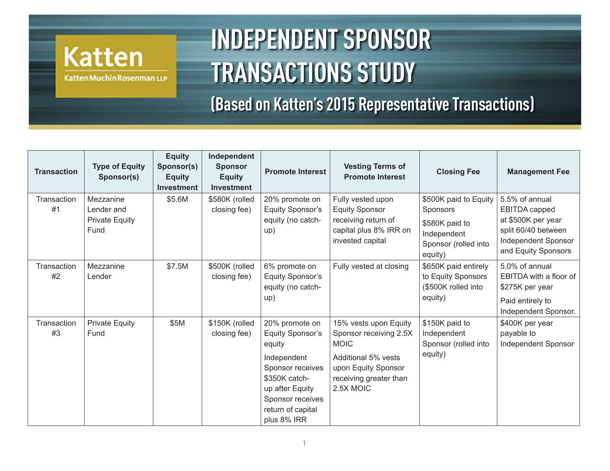## **Katten** Katten Muchin Rosenman LLP

**INDEPENDENT SPONSOR TRANSACTIONS STUDY** 

**(Based on Katten's 2015 Representative Transactions)**

| <b>Transaction</b> | <b>Type of Equity</b><br>Sponsor(s)                      | <b>Equity</b><br>Sponsor(s)<br><b>Equity</b><br><b>Investment</b> | Independent<br><b>Sponsor</b><br><b>Equity</b><br><b>Investment</b> | <b>Promote Interest</b>                                                                                                                                                            | <b>Vesting Terms of</b><br><b>Promote Interest</b>                                                                                                  | <b>Closing Fee</b>                                                                                    | <b>Management Fee</b>                                                                                                      |
|--------------------|----------------------------------------------------------|-------------------------------------------------------------------|---------------------------------------------------------------------|------------------------------------------------------------------------------------------------------------------------------------------------------------------------------------|-----------------------------------------------------------------------------------------------------------------------------------------------------|-------------------------------------------------------------------------------------------------------|----------------------------------------------------------------------------------------------------------------------------|
| Transaction<br>#1  | Mezzanine<br>Lender and<br><b>Private Equity</b><br>Fund | \$5.6M                                                            | \$580K (rolled<br>closing fee)                                      | 20% promote on<br><b>Equity Sponsor's</b><br>equity (no catch-<br>up)                                                                                                              | Fully vested upon<br><b>Equity Sponsor</b><br>receiving return of<br>capital plus 8% IRR on<br>invested capital                                     | \$500K paid to Equity<br>Sponsors<br>\$580K paid to<br>Independent<br>Sponsor (rolled into<br>equity) | 5.5% of annual<br>EBITDA capped<br>at \$500K per year<br>split 60/40 between<br>Independent Sponsor<br>and Equity Sponsors |
| Transaction<br>#2  | Mezzanine<br>Lender                                      | \$7.5M                                                            | \$500K (rolled<br>closing fee)                                      | 6% promote on<br><b>Equity Sponsor's</b><br>equity (no catch-<br>up)                                                                                                               | Fully vested at closing                                                                                                                             | \$650K paid entirely<br>to Equity Sponsors<br>(\$500K rolled into<br>equity)                          | 5.0% of annual<br>EBITDA with a floor of<br>\$275K per year<br>Paid entirely to<br>Independent Sponsor.                    |
| Transaction<br>#3  | <b>Private Equity</b><br>Fund                            | \$5M                                                              | \$150K (rolled<br>closing fee)                                      | 20% promote on<br><b>Equity Sponsor's</b><br>equity<br>Independent<br>Sponsor receives<br>\$350K catch-<br>up after Equity<br>Sponsor receives<br>return of capital<br>plus 8% IRR | 15% vests upon Equity<br>Sponsor receiving 2.5X<br><b>MOIC</b><br>Additional 5% vests<br>upon Equity Sponsor<br>receiving greater than<br>2.5X MOIC | \$150K paid to<br>Independent<br>Sponsor (rolled into<br>equity)                                      | \$400K per year<br>payable to<br>Independent Sponsor                                                                       |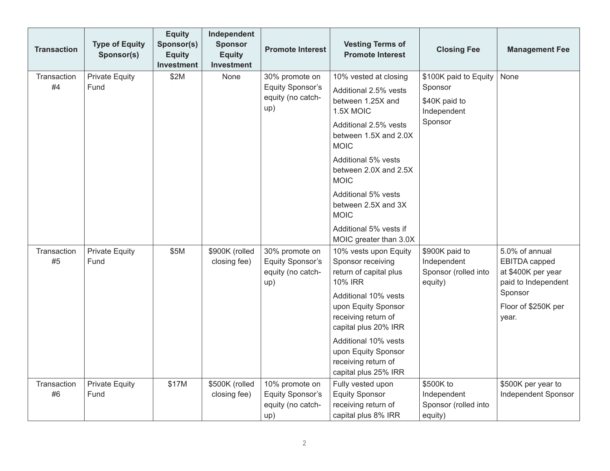| <b>Transaction</b> | <b>Type of Equity</b><br>Sponsor(s) | <b>Equity</b><br>Sponsor(s)<br><b>Equity</b><br><b>Investment</b> | Independent<br><b>Sponsor</b><br><b>Equity</b><br><b>Investment</b> | <b>Promote Interest</b>                                               | <b>Vesting Terms of</b><br><b>Promote Interest</b>                                                                                                                                                                                                                                                           | <b>Closing Fee</b>                                                          | <b>Management Fee</b>                                                                                                   |
|--------------------|-------------------------------------|-------------------------------------------------------------------|---------------------------------------------------------------------|-----------------------------------------------------------------------|--------------------------------------------------------------------------------------------------------------------------------------------------------------------------------------------------------------------------------------------------------------------------------------------------------------|-----------------------------------------------------------------------------|-------------------------------------------------------------------------------------------------------------------------|
| Transaction<br>#4  | <b>Private Equity</b><br>Fund       | \$2M                                                              | None                                                                | 30% promote on<br><b>Equity Sponsor's</b><br>equity (no catch-<br>up) | 10% vested at closing<br>Additional 2.5% vests<br>between 1.25X and<br>1.5X MOIC<br>Additional 2.5% vests<br>between 1.5X and 2.0X<br><b>MOIC</b><br>Additional 5% vests<br>between 2.0X and 2.5X<br><b>MOIC</b><br>Additional 5% vests<br>between 2.5X and 3X<br><b>MOIC</b><br>Additional 5% vests if      | \$100K paid to Equity<br>Sponsor<br>\$40K paid to<br>Independent<br>Sponsor | None                                                                                                                    |
| Transaction<br>#5  | <b>Private Equity</b><br>Fund       | \$5M                                                              | \$900K (rolled<br>closing fee)                                      | 30% promote on<br><b>Equity Sponsor's</b><br>equity (no catch-<br>up) | MOIC greater than 3.0X<br>10% vests upon Equity<br>Sponsor receiving<br>return of capital plus<br><b>10% IRR</b><br>Additional 10% vests<br>upon Equity Sponsor<br>receiving return of<br>capital plus 20% IRR<br>Additional 10% vests<br>upon Equity Sponsor<br>receiving return of<br>capital plus 25% IRR | \$900K paid to<br>Independent<br>Sponsor (rolled into<br>equity)            | 5.0% of annual<br>EBITDA capped<br>at \$400K per year<br>paid to Independent<br>Sponsor<br>Floor of \$250K per<br>year. |
| Transaction<br>#6  | <b>Private Equity</b><br>Fund       | \$17M                                                             | \$500K (rolled<br>closing fee)                                      | 10% promote on<br><b>Equity Sponsor's</b><br>equity (no catch-<br>up) | Fully vested upon<br><b>Equity Sponsor</b><br>receiving return of<br>capital plus 8% IRR                                                                                                                                                                                                                     | \$500K to<br>Independent<br>Sponsor (rolled into<br>equity)                 | \$500K per year to<br>Independent Sponsor                                                                               |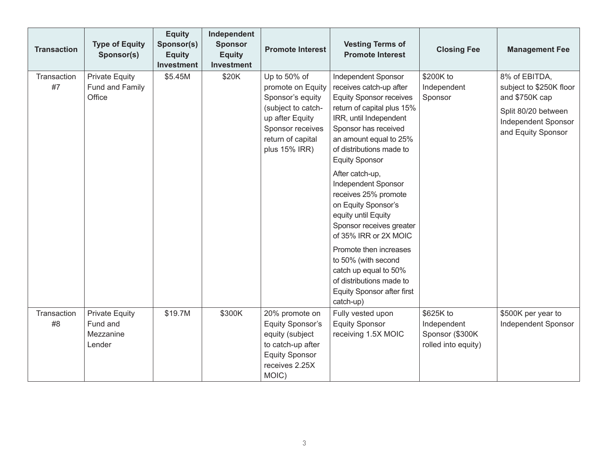| <b>Transaction</b> | <b>Type of Equity</b><br>Sponsor(s)                      | <b>Equity</b><br>Sponsor(s)<br><b>Equity</b><br><b>Investment</b> | Independent<br><b>Sponsor</b><br><b>Equity</b><br><b>Investment</b> | <b>Promote Interest</b>                                                                                                                                  | <b>Vesting Terms of</b><br><b>Promote Interest</b>                                                                                                                                                                                                                                                                                       | <b>Closing Fee</b>                                                 | <b>Management Fee</b>                                                                                                          |
|--------------------|----------------------------------------------------------|-------------------------------------------------------------------|---------------------------------------------------------------------|----------------------------------------------------------------------------------------------------------------------------------------------------------|------------------------------------------------------------------------------------------------------------------------------------------------------------------------------------------------------------------------------------------------------------------------------------------------------------------------------------------|--------------------------------------------------------------------|--------------------------------------------------------------------------------------------------------------------------------|
| Transaction<br>#7  | <b>Private Equity</b><br>Fund and Family<br>Office       | \$5.45M                                                           | \$20K                                                               | Up to 50% of<br>promote on Equity<br>Sponsor's equity<br>(subject to catch-<br>up after Equity<br>Sponsor receives<br>return of capital<br>plus 15% IRR) | Independent Sponsor<br>receives catch-up after<br><b>Equity Sponsor receives</b><br>return of capital plus 15%<br>IRR, until Independent<br>Sponsor has received<br>an amount equal to 25%<br>of distributions made to<br><b>Equity Sponsor</b><br>After catch-up,<br>Independent Sponsor<br>receives 25% promote<br>on Equity Sponsor's | \$200K to<br>Independent<br>Sponsor                                | 8% of EBITDA,<br>subject to \$250K floor<br>and \$750K cap<br>Split 80/20 between<br>Independent Sponsor<br>and Equity Sponsor |
|                    |                                                          |                                                                   |                                                                     |                                                                                                                                                          | equity until Equity<br>Sponsor receives greater<br>of 35% IRR or 2X MOIC<br>Promote then increases<br>to 50% (with second<br>catch up equal to 50%<br>of distributions made to<br><b>Equity Sponsor after first</b><br>catch-up)                                                                                                         |                                                                    |                                                                                                                                |
| Transaction<br>#8  | <b>Private Equity</b><br>Fund and<br>Mezzanine<br>Lender | \$19.7M                                                           | \$300K                                                              | 20% promote on<br><b>Equity Sponsor's</b><br>equity (subject<br>to catch-up after<br><b>Equity Sponsor</b><br>receives 2.25X<br>MOIC)                    | Fully vested upon<br><b>Equity Sponsor</b><br>receiving 1.5X MOIC                                                                                                                                                                                                                                                                        | \$625K to<br>Independent<br>Sponsor (\$300K<br>rolled into equity) | \$500K per year to<br>Independent Sponsor                                                                                      |